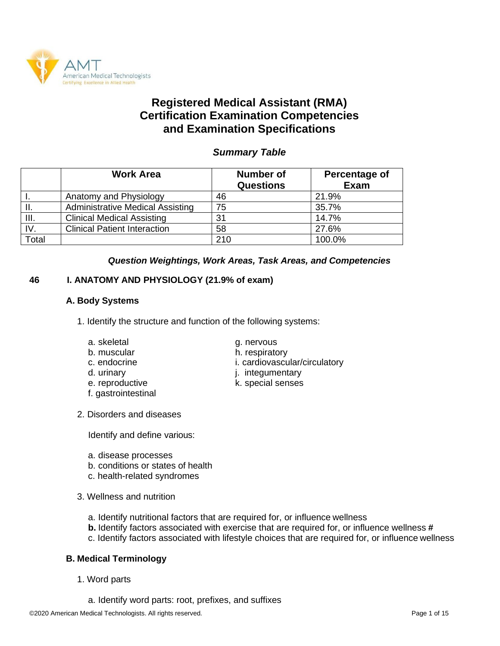

# **Registered Medical Assistant (RMA) Certification Examination Competencies and Examination Specifications**

# *Summary Table*

|              | <b>Work Area</b>                        | <b>Number of</b><br><b>Questions</b> | Percentage of<br>Exam |
|--------------|-----------------------------------------|--------------------------------------|-----------------------|
|              | Anatomy and Physiology                  | 46                                   | 21.9%                 |
| H.           | <b>Administrative Medical Assisting</b> | 75                                   | 35.7%                 |
| III.         | <b>Clinical Medical Assisting</b>       | 31                                   | 14.7%                 |
| IV.          | <b>Clinical Patient Interaction</b>     | 58                                   | 27.6%                 |
| <b>Total</b> |                                         | 210                                  | 100.0%                |

### *Question Weightings, Work Areas, Task Areas, and Competencies*

# **46 I. ANATOMY AND PHYSIOLOGY (21.9% of exam)**

### **A. Body Systems**

- 1. Identify the structure and function of the following systems:
	- a. skeletal g. nervous
	-
	-
	-
	-
	- f. gastrointestinal
- 2. Disorders and diseases

Identify and define various:

- a. disease processes
- b. conditions or states of health
- c. health-related syndromes
- 3. Wellness and nutrition
	- a. Identify nutritional factors that are required for, or influence wellness
	- **b.** Identify factors associated with exercise that are required for, or influence wellness **#**
	- c. Identify factors associated with lifestyle choices that are required for, or influence wellness

### **B. Medical Terminology**

- 1. Word parts
	- a. Identify word parts: root, prefixes, and suffixes
- 
- b. muscular h. respiratory
- c. endocrine i. cardiovascular/circulatory
- d. urinary **i.** integumentary
- e. reproductive and the k. special senses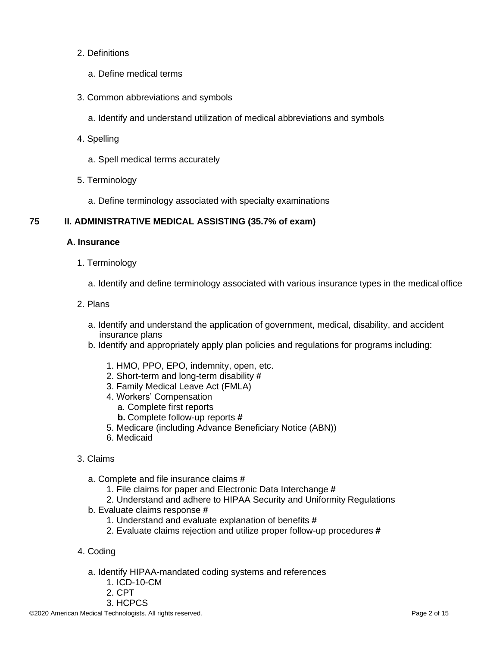#### 2. Definitions

- a. Define medical terms
- 3. Common abbreviations and symbols
	- a. Identify and understand utilization of medical abbreviations and symbols
- 4. Spelling
	- a. Spell medical terms accurately
- 5. Terminology
	- a. Define terminology associated with specialty examinations

# **75 II. ADMINISTRATIVE MEDICAL ASSISTING (35.7% of exam)**

### **A. Insurance**

- 1. Terminology
	- a. Identify and define terminology associated with various insurance types in the medical office

### 2. Plans

- a. Identify and understand the application of government, medical, disability, and accident insurance plans
- b. Identify and appropriately apply plan policies and regulations for programs including:
	- 1. HMO, PPO, EPO, indemnity, open, etc.
	- 2. Short-term and long-term disability **#**
	- 3. Family Medical Leave Act (FMLA)
	- 4. Workers' Compensation
		- a. Complete first reports
		- **b.** Complete follow-up reports **#**
	- 5. Medicare (including Advance Beneficiary Notice (ABN))
	- 6. Medicaid

### 3. Claims

- a. Complete and file insurance claims **#**
	- 1. File claims for paper and Electronic Data Interchange **#**
	- 2. Understand and adhere to HIPAA Security and Uniformity Regulations
- b. Evaluate claims response **#**
	- 1. Understand and evaluate explanation of benefits **#**
	- 2. Evaluate claims rejection and utilize proper follow-up procedures **#**
- 4. Coding
	- a. Identify HIPAA-mandated coding systems and references
		- 1. ICD-10-CM
		- 2. CPT
		- 3. HCPCS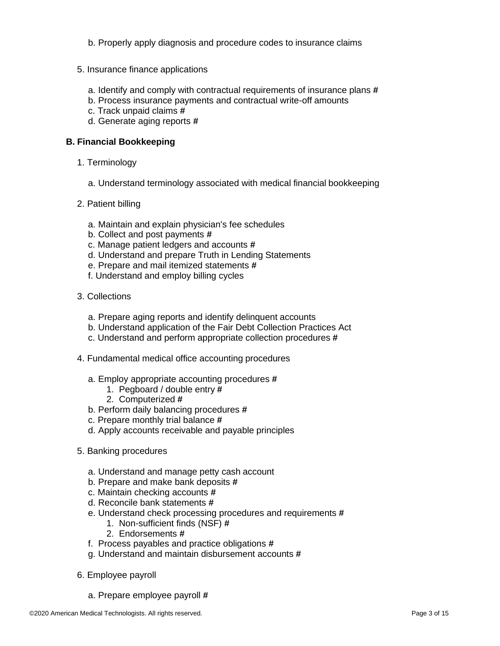- b. Properly apply diagnosis and procedure codes to insurance claims
- 5. Insurance finance applications
	- a. Identify and comply with contractual requirements of insurance plans **#**
	- b. Process insurance payments and contractual write-off amounts
	- c. Track unpaid claims **#**
	- d. Generate aging reports **#**

#### **B. Financial Bookkeeping**

- 1. Terminology
	- a. Understand terminology associated with medical financial bookkeeping
- 2. Patient billing
	- a. Maintain and explain physician's fee schedules
	- b. Collect and post payments **#**
	- c. Manage patient ledgers and accounts **#**
	- d. Understand and prepare Truth in Lending Statements
	- e. Prepare and mail itemized statements **#**
	- f. Understand and employ billing cycles
- 3. Collections
	- a. Prepare aging reports and identify delinquent accounts
	- b. Understand application of the Fair Debt Collection Practices Act
	- c. Understand and perform appropriate collection procedures **#**
- 4. Fundamental medical office accounting procedures
	- a. Employ appropriate accounting procedures **#**
		- 1. Pegboard / double entry **#**
		- 2. Computerized **#**
	- b. Perform daily balancing procedures **#**
	- c. Prepare monthly trial balance **#**
	- d. Apply accounts receivable and payable principles
- 5. Banking procedures
	- a. Understand and manage petty cash account
	- b. Prepare and make bank deposits **#**
	- c. Maintain checking accounts **#**
	- d. Reconcile bank statements **#**
	- e. Understand check processing procedures and requirements **#**
		- 1. Non-sufficient finds (NSF) **#**
		- 2. Endorsements **#**
	- f. Process payables and practice obligations **#**
	- g. Understand and maintain disbursement accounts **#**
- 6. Employee payroll
	- a. Prepare employee payroll **#**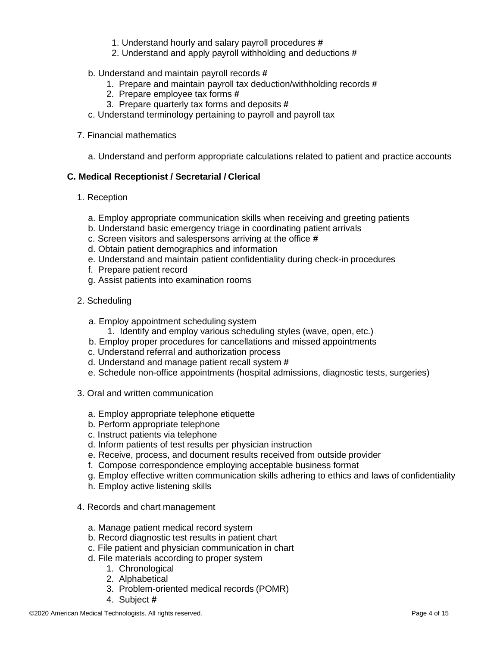- 1. Understand hourly and salary payroll procedures **#**
- 2. Understand and apply payroll withholding and deductions **#**
- b. Understand and maintain payroll records **#**
	- 1. Prepare and maintain payroll tax deduction/withholding records **#**
	- 2. Prepare employee tax forms **#**
	- 3. Prepare quarterly tax forms and deposits **#**
- c. Understand terminology pertaining to payroll and payroll tax
- 7. Financial mathematics
	- a. Understand and perform appropriate calculations related to patient and practice accounts

# **C. Medical Receptionist / Secretarial / Clerical**

- 1. Reception
	- a. Employ appropriate communication skills when receiving and greeting patients
	- b. Understand basic emergency triage in coordinating patient arrivals
	- c. Screen visitors and salespersons arriving at the office **#**
	- d. Obtain patient demographics and information
	- e. Understand and maintain patient confidentiality during check-in procedures
	- f. Prepare patient record
	- g. Assist patients into examination rooms
- 2. Scheduling
	- a. Employ appointment scheduling system
		- 1. Identify and employ various scheduling styles (wave, open, etc.)
	- b. Employ proper procedures for cancellations and missed appointments
	- c. Understand referral and authorization process
	- d. Understand and manage patient recall system **#**
	- e. Schedule non-office appointments (hospital admissions, diagnostic tests, surgeries)
- 3. Oral and written communication
	- a. Employ appropriate telephone etiquette
	- b. Perform appropriate telephone
	- c. Instruct patients via telephone
	- d. Inform patients of test results per physician instruction
	- e. Receive, process, and document results received from outside provider
	- f. Compose correspondence employing acceptable business format
	- g. Employ effective written communication skills adhering to ethics and laws of confidentiality
	- h. Employ active listening skills
- 4. Records and chart management
	- a. Manage patient medical record system
	- b. Record diagnostic test results in patient chart
	- c. File patient and physician communication in chart
	- d. File materials according to proper system
		- 1. Chronological
		- 2. Alphabetical
		- 3. Problem-oriented medical records (POMR)
		- 4. Subject **#**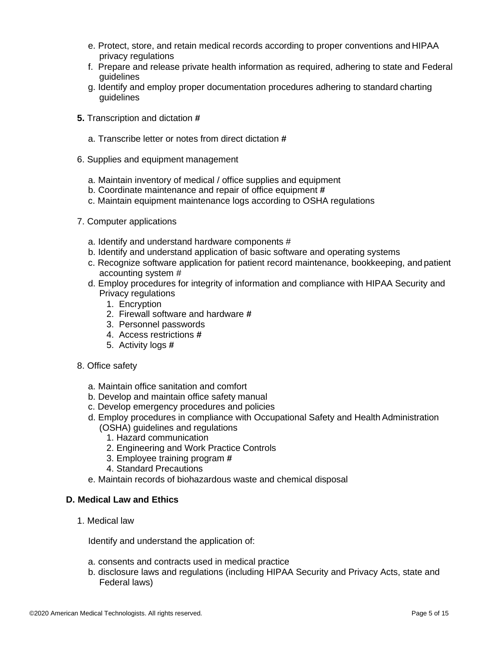- e. Protect, store, and retain medical records according to proper conventions and HIPAA privacy regulations
- f. Prepare and release private health information as required, adhering to state and Federal guidelines
- g. Identify and employ proper documentation procedures adhering to standard charting guidelines
- **5.** Transcription and dictation **#**
	- a. Transcribe letter or notes from direct dictation **#**
- 6. Supplies and equipment management
	- a. Maintain inventory of medical / office supplies and equipment
	- b. Coordinate maintenance and repair of office equipment **#**
	- c. Maintain equipment maintenance logs according to OSHA regulations
- 7. Computer applications
	- a. Identify and understand hardware components #
	- b. Identify and understand application of basic software and operating systems
	- c. Recognize software application for patient record maintenance, bookkeeping, and patient accounting system #
	- d. Employ procedures for integrity of information and compliance with HIPAA Security and Privacy regulations
		- 1. Encryption
		- 2. Firewall software and hardware **#**
		- 3. Personnel passwords
		- 4. Access restrictions **#**
		- 5. Activity logs **#**
- 8. Office safety
	- a. Maintain office sanitation and comfort
	- b. Develop and maintain office safety manual
	- c. Develop emergency procedures and policies
	- d. Employ procedures in compliance with Occupational Safety and Health Administration (OSHA) guidelines and regulations
		- 1. Hazard communication
		- 2. Engineering and Work Practice Controls
		- 3. Employee training program **#**
		- 4. Standard Precautions
	- e. Maintain records of biohazardous waste and chemical disposal

### **D. Medical Law and Ethics**

1. Medical law

Identify and understand the application of:

- a. consents and contracts used in medical practice
- b. disclosure laws and regulations (including HIPAA Security and Privacy Acts, state and Federal laws)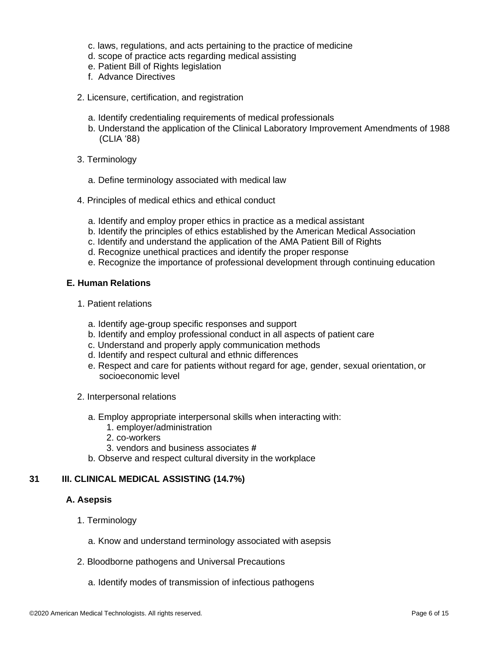- c. laws, regulations, and acts pertaining to the practice of medicine
- d. scope of practice acts regarding medical assisting
- e. Patient Bill of Rights legislation
- f. Advance Directives
- 2. Licensure, certification, and registration
	- a. Identify credentialing requirements of medical professionals
	- b. Understand the application of the Clinical Laboratory Improvement Amendments of 1988 (CLIA '88)
- 3. Terminology
	- a. Define terminology associated with medical law
- 4. Principles of medical ethics and ethical conduct
	- a. Identify and employ proper ethics in practice as a medical assistant
	- b. Identify the principles of ethics established by the American Medical Association
	- c. Identify and understand the application of the AMA Patient Bill of Rights
	- d. Recognize unethical practices and identify the proper response
	- e. Recognize the importance of professional development through continuing education

#### **E. Human Relations**

- 1. Patient relations
	- a. Identify age-group specific responses and support
	- b. Identify and employ professional conduct in all aspects of patient care
	- c. Understand and properly apply communication methods
	- d. Identify and respect cultural and ethnic differences
	- e. Respect and care for patients without regard for age, gender, sexual orientation, or socioeconomic level
- 2. Interpersonal relations
	- a. Employ appropriate interpersonal skills when interacting with:
		- 1. employer/administration
		- 2. co-workers
		- 3. vendors and business associates **#**
	- b. Observe and respect cultural diversity in the workplace

#### **31 III. CLINICAL MEDICAL ASSISTING (14.7%)**

#### **A. Asepsis**

- 1. Terminology
	- a. Know and understand terminology associated with asepsis
- 2. Bloodborne pathogens and Universal Precautions
	- a. Identify modes of transmission of infectious pathogens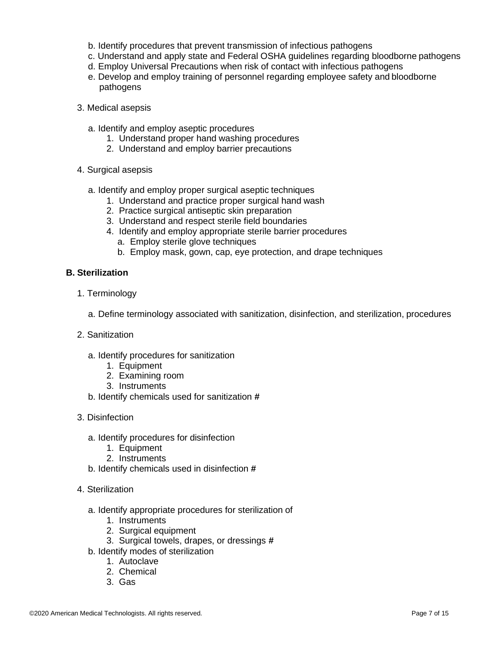- b. Identify procedures that prevent transmission of infectious pathogens
- c. Understand and apply state and Federal OSHA guidelines regarding bloodborne pathogens
- d. Employ Universal Precautions when risk of contact with infectious pathogens
- e. Develop and employ training of personnel regarding employee safety and bloodborne pathogens
- 3. Medical asepsis
	- a. Identify and employ aseptic procedures
		- 1. Understand proper hand washing procedures
		- 2. Understand and employ barrier precautions
- 4. Surgical asepsis
	- a. Identify and employ proper surgical aseptic techniques
		- 1. Understand and practice proper surgical hand wash
		- 2. Practice surgical antiseptic skin preparation
		- 3. Understand and respect sterile field boundaries
		- 4. Identify and employ appropriate sterile barrier procedures
			- a. Employ sterile glove techniques
			- b. Employ mask, gown, cap, eye protection, and drape techniques

#### **B. Sterilization**

- 1. Terminology
	- a. Define terminology associated with sanitization, disinfection, and sterilization, procedures
- 2. Sanitization
	- a. Identify procedures for sanitization
		- 1. Equipment
		- 2. Examining room
		- 3. Instruments
	- b. Identify chemicals used for sanitization **#**
- 3. Disinfection
	- a. Identify procedures for disinfection
		- 1. Equipment
		- 2. Instruments
	- b. Identify chemicals used in disinfection **#**
- 4. Sterilization
	- a. Identify appropriate procedures for sterilization of
		- 1. Instruments
		- 2. Surgical equipment
		- 3. Surgical towels, drapes, or dressings **#**
	- b. Identify modes of sterilization
		- 1. Autoclave
		- 2. Chemical
		- 3. Gas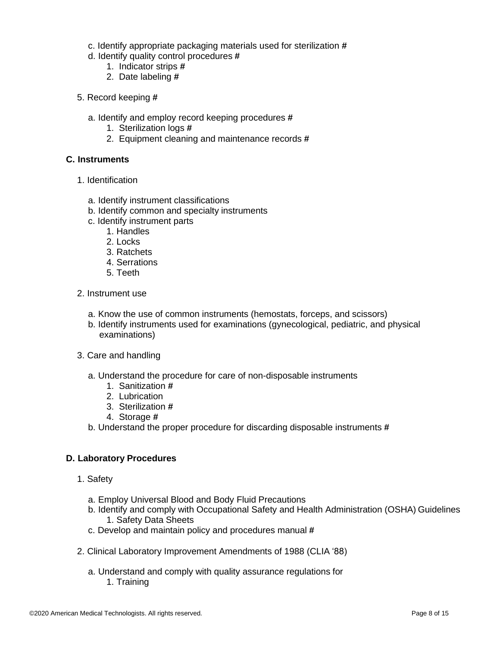- c. Identify appropriate packaging materials used for sterilization **#**
- d. Identify quality control procedures **#**
	- 1. Indicator strips **#**
	- 2. Date labeling **#**
- 5. Record keeping **#**
	- a. Identify and employ record keeping procedures **#**
		- 1. Sterilization logs **#**
		- 2. Equipment cleaning and maintenance records **#**

### **C. Instruments**

- 1. Identification
	- a. Identify instrument classifications
	- b. Identify common and specialty instruments
	- c. Identify instrument parts
		- 1. Handles
		- 2. Locks
		- 3. Ratchets
		- 4. Serrations
		- 5. Teeth
- 2. Instrument use
	- a. Know the use of common instruments (hemostats, forceps, and scissors)
	- b. Identify instruments used for examinations (gynecological, pediatric, and physical examinations)
- 3. Care and handling
	- a. Understand the procedure for care of non-disposable instruments
		- 1. Sanitization **#**
		- 2. Lubrication
		- 3. Sterilization **#**
		- 4. Storage **#**
	- b. Understand the proper procedure for discarding disposable instruments **#**

### **D. Laboratory Procedures**

- 1. Safety
	- a. Employ Universal Blood and Body Fluid Precautions
	- b. Identify and comply with Occupational Safety and Health Administration (OSHA) Guidelines 1. Safety Data Sheets
	- c. Develop and maintain policy and procedures manual **#**
- 2. Clinical Laboratory Improvement Amendments of 1988 (CLIA '88)
	- a. Understand and comply with quality assurance regulations for 1. Training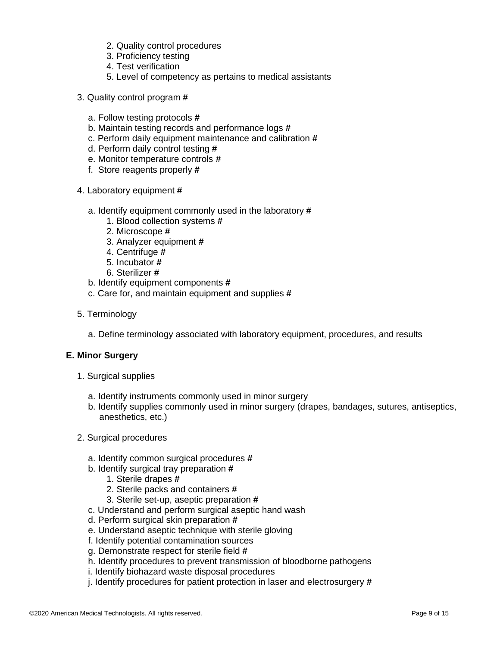- 2. Quality control procedures
- 3. Proficiency testing
- 4. Test verification
- 5. Level of competency as pertains to medical assistants
- 3. Quality control program **#**
	- a. Follow testing protocols **#**
	- b. Maintain testing records and performance logs **#**
	- c. Perform daily equipment maintenance and calibration **#**
	- d. Perform daily control testing **#**
	- e. Monitor temperature controls **#**
	- f. Store reagents properly **#**
- 4. Laboratory equipment **#**
	- a. Identify equipment commonly used in the laboratory **#**
		- 1. Blood collection systems **#**
		- 2. Microscope **#**
		- 3. Analyzer equipment **#**
		- 4. Centrifuge **#**
		- 5. Incubator **#**
		- 6. Sterilizer **#**
	- b. Identify equipment components **#**
	- c. Care for, and maintain equipment and supplies **#**
- 5. Terminology
	- a. Define terminology associated with laboratory equipment, procedures, and results

### **E. Minor Surgery**

- 1. Surgical supplies
	- a. Identify instruments commonly used in minor surgery
	- b. Identify supplies commonly used in minor surgery (drapes, bandages, sutures, antiseptics, anesthetics, etc.)
- 2. Surgical procedures
	- a. Identify common surgical procedures **#**
	- b. Identify surgical tray preparation **#**
		- 1. Sterile drapes **#**
		- 2. Sterile packs and containers **#**
		- 3. Sterile set-up, aseptic preparation **#**
	- c. Understand and perform surgical aseptic hand wash
	- d. Perform surgical skin preparation **#**
	- e. Understand aseptic technique with sterile gloving
	- f. Identify potential contamination sources
	- g. Demonstrate respect for sterile field **#**
	- h. Identify procedures to prevent transmission of bloodborne pathogens
	- i. Identify biohazard waste disposal procedures
	- j. Identify procedures for patient protection in laser and electrosurgery **#**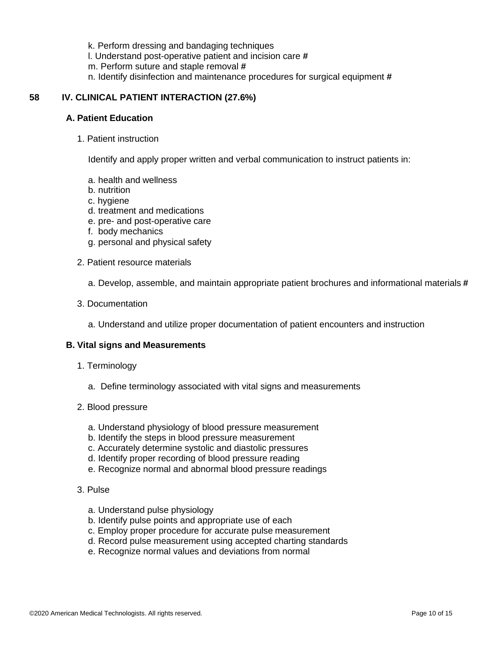k. Perform dressing and bandaging techniques

l. Understand post-operative patient and incision care **#**

m. Perform suture and staple removal **#**

n. Identify disinfection and maintenance procedures for surgical equipment **#**

### **58 IV. CLINICAL PATIENT INTERACTION (27.6%)**

#### **A. Patient Education**

1. Patient instruction

Identify and apply proper written and verbal communication to instruct patients in:

- a. health and wellness
- b. nutrition
- c. hygiene
- d. treatment and medications
- e. pre- and post-operative care
- f. body mechanics
- g. personal and physical safety
- 2. Patient resource materials
	- a. Develop, assemble, and maintain appropriate patient brochures and informational materials **#**
- 3. Documentation
	- a. Understand and utilize proper documentation of patient encounters and instruction

#### **B. Vital signs and Measurements**

- 1. Terminology
	- a. Define terminology associated with vital signs and measurements
- 2. Blood pressure
	- a. Understand physiology of blood pressure measurement
	- b. Identify the steps in blood pressure measurement
	- c. Accurately determine systolic and diastolic pressures
	- d. Identify proper recording of blood pressure reading
	- e. Recognize normal and abnormal blood pressure readings

#### 3. Pulse

- a. Understand pulse physiology
- b. Identify pulse points and appropriate use of each
- c. Employ proper procedure for accurate pulse measurement
- d. Record pulse measurement using accepted charting standards
- e. Recognize normal values and deviations from normal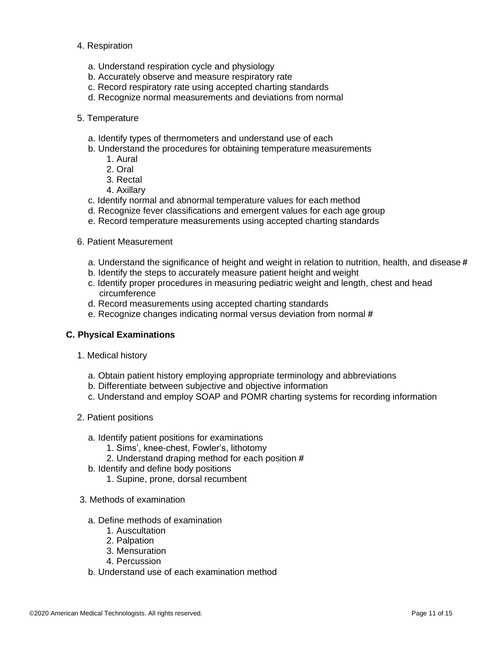#### 4. Respiration

- a. Understand respiration cycle and physiology
- b. Accurately observe and measure respiratory rate
- c. Record respiratory rate using accepted charting standards
- d. Recognize normal measurements and deviations from normal
- 5. Temperature
	- a. Identify types of thermometers and understand use of each
	- b. Understand the procedures for obtaining temperature measurements
		- 1. Aural
		- 2. Oral
		- 3. Rectal
		- 4. Axillary
	- c. Identify normal and abnormal temperature values for each method
	- d. Recognize fever classifications and emergent values for each age group
	- e. Record temperature measurements using accepted charting standards
- 6. Patient Measurement
	- a. Understand the significance of height and weight in relation to nutrition, health, and disease **#**
	- b. Identify the steps to accurately measure patient height and weight
	- c. Identify proper procedures in measuring pediatric weight and length, chest and head circumference
	- d. Record measurements using accepted charting standards
	- e. Recognize changes indicating normal versus deviation from normal **#**

#### **C. Physical Examinations**

- 1. Medical history
	- a. Obtain patient history employing appropriate terminology and abbreviations
	- b. Differentiate between subjective and objective information
	- c. Understand and employ SOAP and POMR charting systems for recording information
- 2. Patient positions
	- a. Identify patient positions for examinations
		- 1. Sims', knee-chest, Fowler's, lithotomy
		- 2. Understand draping method for each position **#**
	- b. Identify and define body positions
		- 1. Supine, prone, dorsal recumbent
- 3. Methods of examination
	- a. Define methods of examination
		- 1. Auscultation
		- 2. Palpation
		- 3. Mensuration
		- 4. Percussion
	- b. Understand use of each examination method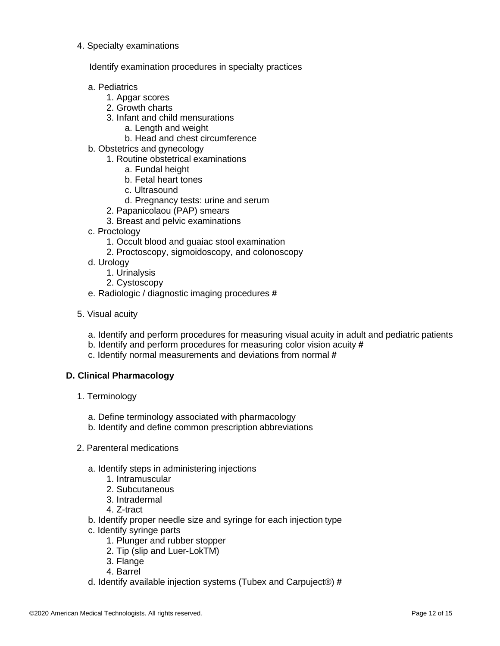#### 4. Specialty examinations

Identify examination procedures in specialty practices

#### a. Pediatrics

- 1. Apgar scores
- 2. Growth charts
- 3. Infant and child mensurations
	- a. Length and weight
	- b. Head and chest circumference
- b. Obstetrics and gynecology
	- 1. Routine obstetrical examinations
		- a. Fundal height
			- b. Fetal heart tones
			- c. Ultrasound
			- d. Pregnancy tests: urine and serum
	- 2. Papanicolaou (PAP) smears
	- 3. Breast and pelvic examinations
- c. Proctology
	- 1. Occult blood and guaiac stool examination
	- 2. Proctoscopy, sigmoidoscopy, and colonoscopy
- d. Urology
	- 1. Urinalysis
	- 2. Cystoscopy
- e. Radiologic / diagnostic imaging procedures **#**
- 5. Visual acuity
	- a. Identify and perform procedures for measuring visual acuity in adult and pediatric patients
	- b. Identify and perform procedures for measuring color vision acuity **#**
	- c. Identify normal measurements and deviations from normal **#**

### **D. Clinical Pharmacology**

- 1. Terminology
	- a. Define terminology associated with pharmacology
	- b. Identify and define common prescription abbreviations
- 2. Parenteral medications
	- a. Identify steps in administering injections
		- 1. Intramuscular
		- 2. Subcutaneous
		- 3. Intradermal
		- 4. Z-tract
	- b. Identify proper needle size and syringe for each injection type
	- c. Identify syringe parts
		- 1. Plunger and rubber stopper
		- 2. Tip (slip and Luer-LokTM)
		- 3. Flange
		- 4. Barrel
	- d. Identify available injection systems (Tubex and Carpuject®) **#**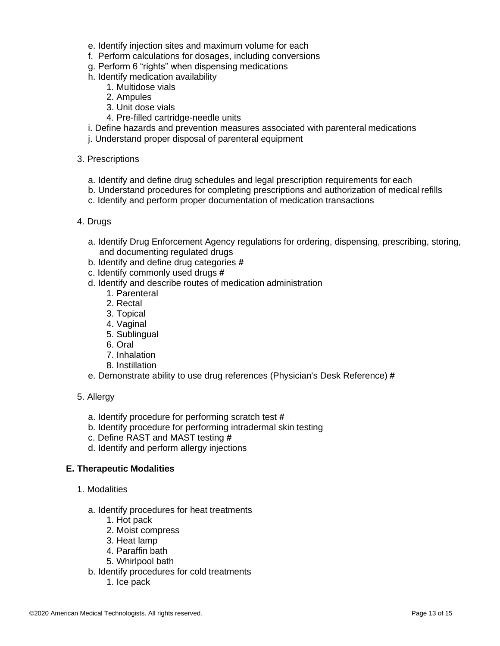- e. Identify injection sites and maximum volume for each
- f. Perform calculations for dosages, including conversions
- g. Perform 6 "rights" when dispensing medications
- h. Identify medication availability
	- 1. Multidose vials
	- 2. Ampules
	- 3. Unit dose vials
	- 4. Pre-filled cartridge-needle units
- i. Define hazards and prevention measures associated with parenteral medications
- j. Understand proper disposal of parenteral equipment

#### 3. Prescriptions

- a. Identify and define drug schedules and legal prescription requirements for each
- b. Understand procedures for completing prescriptions and authorization of medical refills
- c. Identify and perform proper documentation of medication transactions

#### 4. Drugs

- a. Identify Drug Enforcement Agency regulations for ordering, dispensing, prescribing, storing, and documenting regulated drugs
- b. Identify and define drug categories **#**
- c. Identify commonly used drugs **#**
- d. Identify and describe routes of medication administration
	- 1. Parenteral
	- 2. Rectal
	- 3. Topical
	- 4. Vaginal
	- 5. Sublingual
	- 6. Oral
	- 7. Inhalation
	- 8. Instillation
- e. Demonstrate ability to use drug references (Physician's Desk Reference) **#**

#### 5. Allergy

- a. Identify procedure for performing scratch test **#**
- b. Identify procedure for performing intradermal skin testing
- c. Define RAST and MAST testing **#**
- d. Identify and perform allergy injections

### **E. Therapeutic Modalities**

- 1. Modalities
	- a. Identify procedures for heat treatments
		- 1. Hot pack
		- 2. Moist compress
		- 3. Heat lamp
		- 4. Paraffin bath
		- 5. Whirlpool bath
	- b. Identify procedures for cold treatments
		- 1. Ice pack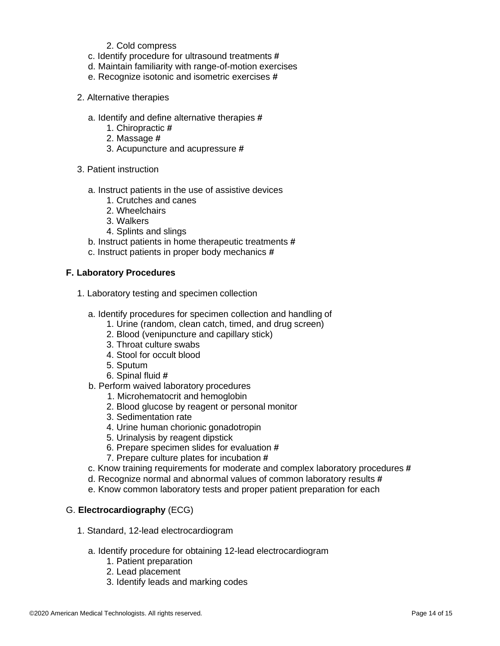- 2. Cold compress
- c. Identify procedure for ultrasound treatments **#**
- d. Maintain familiarity with range-of-motion exercises
- e. Recognize isotonic and isometric exercises **#**
- 2. Alternative therapies
	- a. Identify and define alternative therapies **#**
		- 1. Chiropractic **#**
		- 2. Massage **#**
		- 3. Acupuncture and acupressure **#**
- 3. Patient instruction
	- a. Instruct patients in the use of assistive devices
		- 1. Crutches and canes
		- 2. Wheelchairs
		- 3. Walkers
		- 4. Splints and slings
	- b. Instruct patients in home therapeutic treatments **#**
	- c. Instruct patients in proper body mechanics **#**

#### **F. Laboratory Procedures**

- 1. Laboratory testing and specimen collection
	- a. Identify procedures for specimen collection and handling of
		- 1. Urine (random, clean catch, timed, and drug screen)
		- 2. Blood (venipuncture and capillary stick)
		- 3. Throat culture swabs
		- 4. Stool for occult blood
		- 5. Sputum
		- 6. Spinal fluid **#**
	- b. Perform waived laboratory procedures
		- 1. Microhematocrit and hemoglobin
		- 2. Blood glucose by reagent or personal monitor
		- 3. Sedimentation rate
		- 4. Urine human chorionic gonadotropin
		- 5. Urinalysis by reagent dipstick
		- 6. Prepare specimen slides for evaluation **#**
		- 7. Prepare culture plates for incubation **#**
	- c. Know training requirements for moderate and complex laboratory procedures **#**
	- d. Recognize normal and abnormal values of common laboratory results **#**
	- e. Know common laboratory tests and proper patient preparation for each

### G. **Electrocardiography** (ECG)

- 1. Standard, 12-lead electrocardiogram
	- a. Identify procedure for obtaining 12-lead electrocardiogram
		- 1. Patient preparation
		- 2. Lead placement
		- 3. Identify leads and marking codes